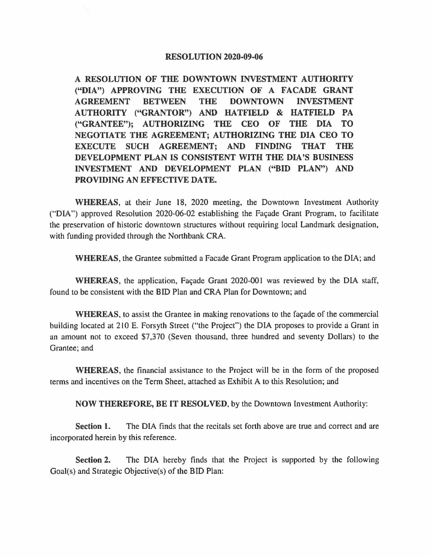### **RESOLUTION 2020-09-06**

**A RESOLUTION OF THE DOWNTOWN INVESTMENT AUTHORITY**  ("DIA") APPROVING THE EXECUTION OF A FACADE GRANT **AGREEMENT BETWEEN THE DOWNTOWN INVESTMENT AUTHORITY ("GRANTOR") AND HATFIELD** & **HATFIELD PA ("GRANTEE"); AUTHORIZING THE CEO OF THE DIA TO NEGOTIATE THE AGREEMENT; AUTHORIZING THE DIA CEO TO EXECUTE SUCH AGREEMENT; AND FINDING THAT THE DEVELOPMENT PLAN IS CONSISTENT WITH THE DIA'S BUSINESS INVESTMENT AND DEVELOPMENT PLAN (''BID PLAN") AND PROVIDING AN EFFECTIVE DATE.** 

**WHEREAS,** at their June 18, 2020 meeting, the Downtown Investment Authority ("DIA") approved Resolution 2020-06-02 establishing the Facade Grant Program, to facilitate the preservation of historic downtown structures without requiring local Landmark designation, with funding provided through the Northbank CRA.

**WHEREAS,** the Grantee submitted a Facade Grant Program application to the DIA; and

WHEREAS, the application, Façade Grant 2020-001 was reviewed by the DIA staff, found to be consistent with the BID Plan and CRA Plan for Downtown; and

**WHEREAS,** to assist the Grantee in making renovations to the facade of the commercial building located at 210 E. Forsyth Street ("the Project") the DIA proposes to provide a Grant in an amount not to exceed \$7,370 (Seven thousand, three hundred and seventy Dollars} to the Grantee; and

**WHEREAS,** the financial assistance to the Project will be in the form of the proposed terms and incentives on the Term Sheet, attached as Exhibit A to this Resolution; and

**NOW THEREFORE, BE IT RESOLVED,** by the Downtown Investment Authority:

**Section 1.** The DIA finds that the recitals set forth above are true and correct and are incorporated herein by this reference.

**Section 2.** The DIA hereby finds that the Project is supported by the following Goal(s} and Strategic Objective(s) of the BID Plan: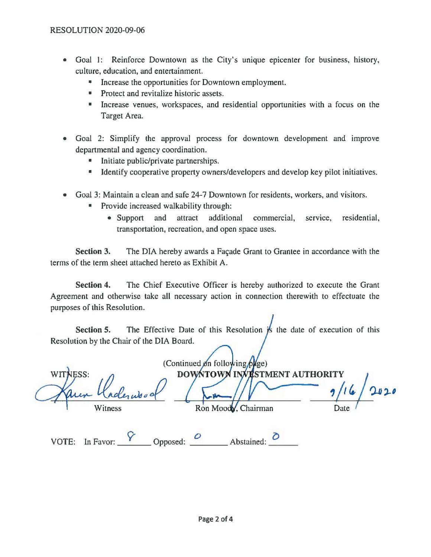- Goal 1: Reinforce Downtown as the City's unique epicenter for business, history, culture, education, and entertainment.
	- Increase the opportunities for Downtown employment.
	- Protect and revitalize historic assets.
	- Increase venues, workspaces, and residential opportunities with a focus on the Target Area.
- Goal 2: Simplify the approval process for downtown development and improve departmental and agency coordination.
	- Initiate public/private partnerships.
	- Identify cooperative property owners/developers and develop key pilot initiatives.
- Goal 3: Maintain a clean and safe 24-7 Downtown for residents, workers, and visitors.
	- Provide increased walkability through:
		- Support and attract additional commercial, service, residential, transportation, recreation, and open space uses.

**Section 3.** The DIA hereby awards a Facade Grant to Grantee in accordance with the terms of the term sheet attached hereto as Exhibit A.

**Section 4.** The Chief Executive Officer is hereby authorized to execute the Grant Agreement and otherwise take all necessary action in connection therewith to effectuate the purposes of this Resolution.

**Section 5.** The Effective Date of this Resolution  $\frac{1}{15}$  the date of execution of this Resolution by the Chair of the DIA Board.

|                       | (Continued on following plge) |      |
|-----------------------|-------------------------------|------|
| WITNESS:<br>Kadensoot | DOWNTOWN INVESTMENT AUTHORITY | 2020 |
| Witness               | Ron Moody, Chairman           | Date |
|                       |                               |      |

VOTE: In Favor:  $\begin{matrix} Y \\ \hline \end{matrix}$  Opposed:  $\begin{matrix} 0 \\ \hline \end{matrix}$  Abstained:  $\begin{matrix} 0 \\ \hline \end{matrix}$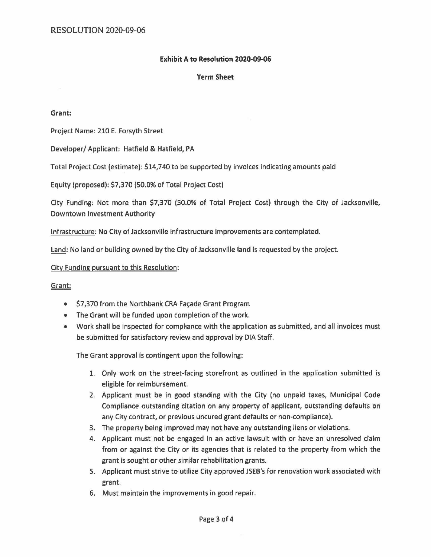### Exhibit A to Resolution 2020-09-06

#### Term Sheet

#### **Grant:**

Project Name: 210 E. Forsyth Street

Developer/ Applicant: Hatfield & Hatfield, PA

Total Project Cost (estimate): \$14,740 to be supported by invoices indicating amounts paid

Equity (proposed): \$7,370 (50.0% of Total Project Cost)

City Funding: Not more than \$7,370 (50.0% of Total Project Cost) through the City of Jacksonville, Downtown Investment Authority

Infrastructure: No City of Jacksonville infrastructure improvements are contemplated.

Land: No land or building owned by the City of Jacksonville land is requested by the project.

#### City Funding pursuant to this Resolution:

#### Grant:

- \$7,370 from the Northbank CRA Facade Grant Program
- The Grant will be funded upon completion of the work.
- Work shall be inspected for compliance with the application as submitted, and all invoices must be submitted for satisfactory review and approval by DIA Staff.

The Grant approval is contingent upon the following:

- 1. Only work on the street-facing storefront as outlined in the application submitted is eligible for reimbursement.
- 2. Applicant must be in good standing with the City (no unpaid taxes, Municipal Code Compliance outstanding citation on any property of applicant, outstanding defaults on any City contract, or previous uncured grant defaults or non-compliance).
- 3. The property being improved may not have any outstanding liens or violations.
- 4. Applicant must not be engaged in an active lawsuit with or have an unresolved claim from or against the City or its agencies that is related to the property from which the grant is sought or other similar rehabilitation grants.
- 5. Applicant must strive to utilize City approved JSEB's for renovation work associated with grant.
- 6. Must maintain the improvements in good repair.